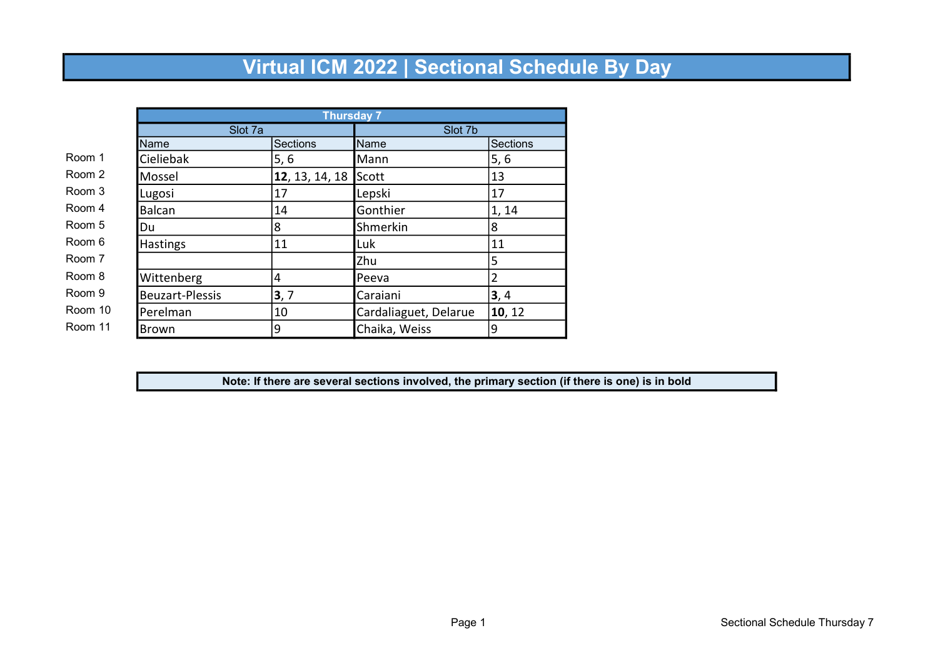|         |                        | <b>Thursday 7</b> |                       |                 |  |
|---------|------------------------|-------------------|-----------------------|-----------------|--|
|         | Slot 7a                |                   | Slot 7b               |                 |  |
|         | Name                   | Sections          | <b>Name</b>           | <b>Sections</b> |  |
| Room 1  | Cieliebak              | 5, 6              | Mann                  | 5, 6            |  |
| Room 2  | Mossel                 | 12, 13, 14, 18    | Scott                 | 13              |  |
| Room 3  | Lugosi                 | 17                | Lepski                | 17              |  |
| Room 4  | <b>Balcan</b>          | 14                | Gonthier              | 1, 14           |  |
| Room 5  | Du                     | 8                 | Shmerkin              | 8               |  |
| Room 6  | Hastings               | 11                | Luk                   | 11              |  |
| Room 7  |                        |                   | Zhu                   | 5               |  |
| Room 8  | Wittenberg             | 4                 | Peeva                 | 2               |  |
| Room 9  | <b>Beuzart-Plessis</b> | 3,7               | Caraiani              | 3, 4            |  |
| Room 10 | Perelman               | 10                | Cardaliaguet, Delarue | 10, 12          |  |
| Room 11 | <b>Brown</b>           | 9                 | Chaika, Weiss         | 9               |  |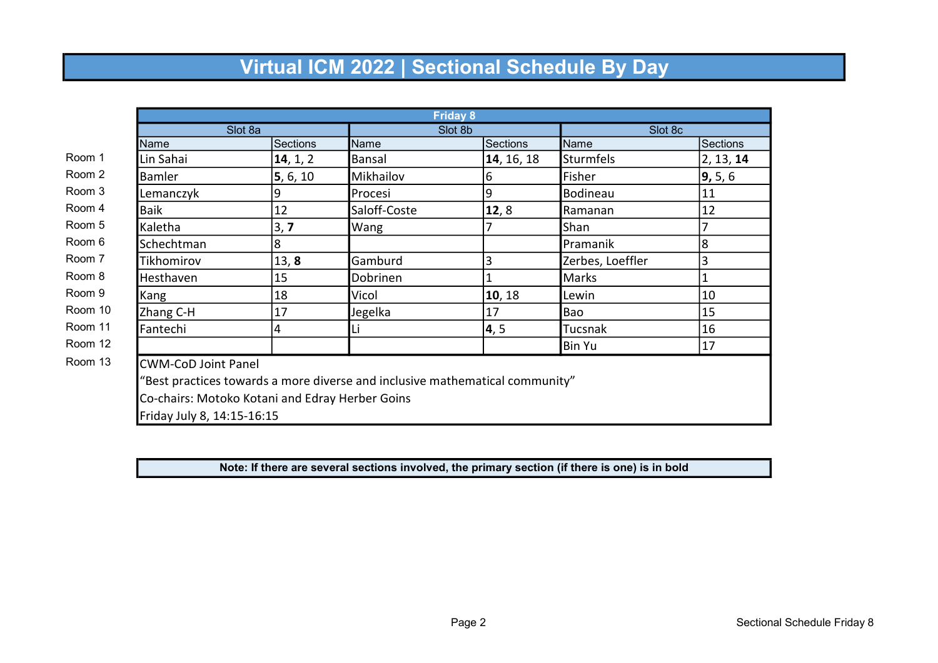|                            |                                                                              |              | <b>Friday 8</b> |                  |           |  |
|----------------------------|------------------------------------------------------------------------------|--------------|-----------------|------------------|-----------|--|
|                            | Slot 8a                                                                      |              | Slot 8b         |                  | Slot 8c   |  |
| Name                       | Sections                                                                     | Name         | Sections        | Name             | Sections  |  |
| Lin Sahai                  | 14, 1, 2                                                                     | Bansal       | 14, 16, 18      | <b>Sturmfels</b> | 2, 13, 14 |  |
| Bamler                     | 5, 6, 10                                                                     | Mikhailov    | 6               | Fisher           | 9, 5, 6   |  |
| Lemanczyk                  | 9                                                                            | Procesi      | 9               | Bodineau         | 11        |  |
| <b>Baik</b>                | 12                                                                           | Saloff-Coste | 12,8            | Ramanan          | 12        |  |
| Kaletha                    | 3, 7                                                                         | Wang         |                 | Shan             |           |  |
| Schechtman                 | 8                                                                            |              |                 | Pramanik         | 8         |  |
| Tikhomirov                 | 13, 8                                                                        | Gamburd      | 3               | Zerbes, Loeffler | 3         |  |
| Hesthaven                  | 15                                                                           | Dobrinen     |                 | Marks            | 1         |  |
| Kang                       | 18                                                                           | Vicol        | 10, 18          | Lewin            | 10        |  |
| Zhang C-H                  | 17                                                                           | Jegelka      | 17              | Bao              | 15        |  |
| Fantechi                   | 4                                                                            | Li           | 4, 5            | <b>Tucsnak</b>   | 16        |  |
|                            |                                                                              |              |                 | <b>Bin Yu</b>    | 17        |  |
| <b>CWM-CoD Joint Panel</b> |                                                                              |              |                 |                  |           |  |
|                            | "Best practices towards a more diverse and inclusive mathematical community" |              |                 |                  |           |  |
|                            | Co-chairs: Motoko Kotani and Edray Herber Goins                              |              |                 |                  |           |  |
| Friday July 8, 14:15-16:15 |                                                                              |              |                 |                  |           |  |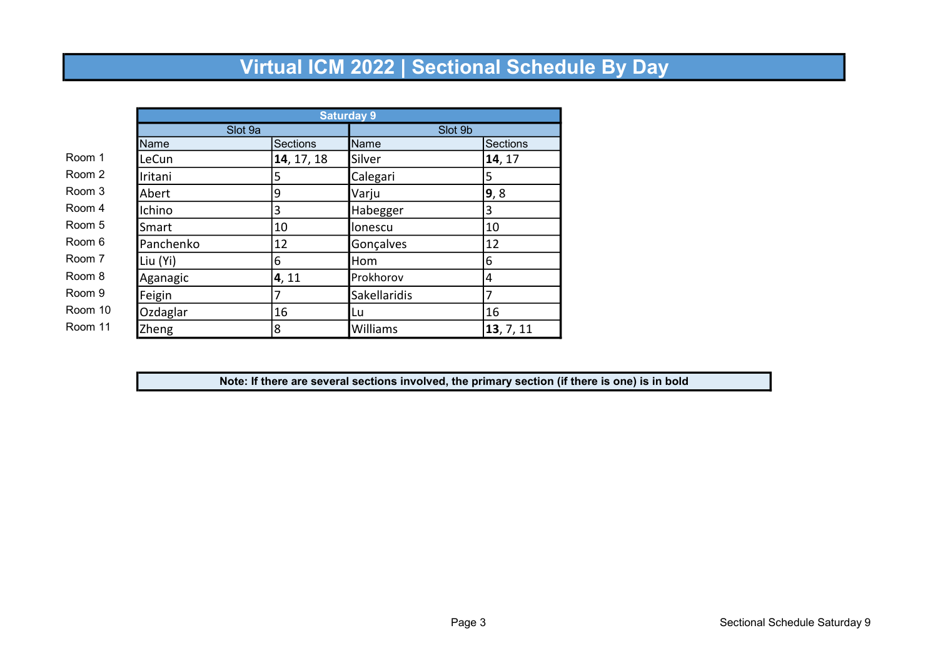|         |           | <b>Saturday 9</b> |              |                 |  |
|---------|-----------|-------------------|--------------|-----------------|--|
|         | Slot 9a   |                   | Slot 9b      |                 |  |
|         | Name      | <b>Sections</b>   | Name         | <b>Sections</b> |  |
| Room 1  | LeCun     | 14, 17, 18        | Silver       | 14, 17          |  |
| Room 2  | Iritani   | 5                 | Calegari     | 5               |  |
| Room 3  | Abert     | 9                 | Varju        | 9,8             |  |
| Room 4  | Ichino    | 3                 | Habegger     | 3               |  |
| Room 5  | Smart     | 10                | llonescu     | 10              |  |
| Room 6  | Panchenko | 12                | Gonçalves    | 12              |  |
| Room 7  | Liu (Yi)  | 6                 | Hom          | 6               |  |
| Room 8  | Aganagic  | 4, 11             | Prokhorov    | 4               |  |
| Room 9  | Feigin    | 7                 | Sakellaridis | 7               |  |
| Room 10 | Ozdaglar  | 16                | Lu           | 16              |  |
| Room 11 | Zheng     | 8                 | Williams     | 13, 7, 11       |  |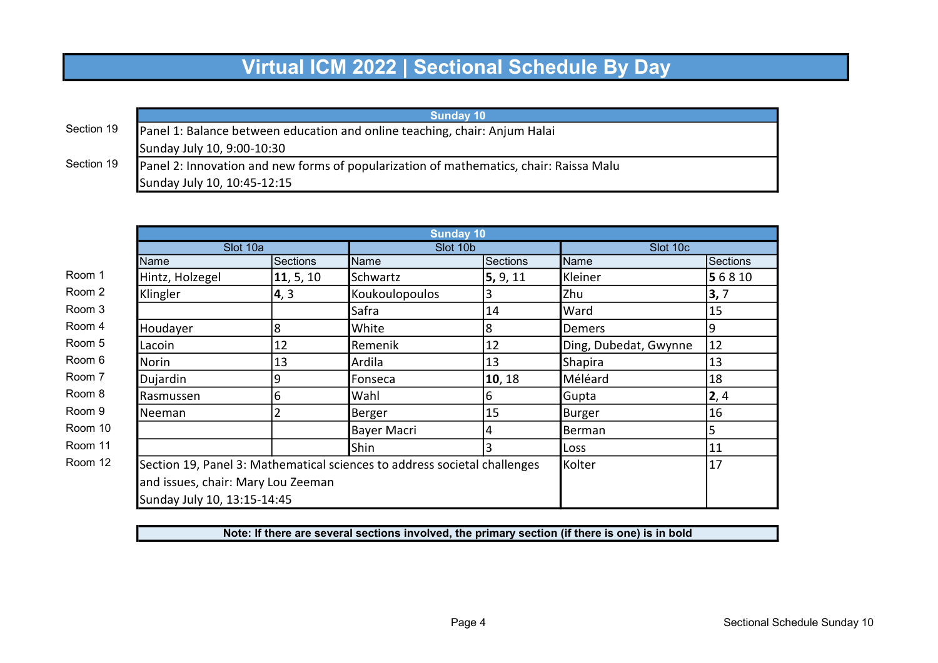|            | <b>Sunday 10</b>                                                                       |
|------------|----------------------------------------------------------------------------------------|
| Section 19 | Panel 1: Balance between education and online teaching, chair: Anjum Halai             |
|            | Sunday July 10, 9:00-10:30                                                             |
| Section 19 | Panel 2: Innovation and new forms of popularization of mathematics, chair: Raissa Malu |
|            | Sunday July 10, 10:45-12:15                                                            |

|                             |                                    | <b>Sunday 10</b>                                                          |                 |                       |                 |  |
|-----------------------------|------------------------------------|---------------------------------------------------------------------------|-----------------|-----------------------|-----------------|--|
| Slot 10a                    |                                    |                                                                           | Slot 10b        |                       | Slot 10c        |  |
| Name                        | Sections                           | Name                                                                      | <b>Sections</b> | Name                  | <b>Sections</b> |  |
| Hintz, Holzegel             | 11, 5, 10                          | Schwartz                                                                  | 5, 9, 11        | Kleiner               | 5 6 8 10        |  |
| Klingler                    | 4, 3                               | Koukoulopoulos                                                            | 3               | Zhu                   | 3, 7            |  |
|                             |                                    | Safra                                                                     | 14              | Ward                  | 15              |  |
| Houdayer                    | 8                                  | White                                                                     | 8               | <b>Demers</b>         | 9               |  |
| Lacoin                      | 12                                 | Remenik                                                                   | 12              | Ding, Dubedat, Gwynne | 12              |  |
| Norin                       | 13                                 | Ardila                                                                    | 13              | <b>Shapira</b>        | 13              |  |
| Dujardin                    | 9                                  | Fonseca                                                                   | 10, 18          | Méléard               | 18              |  |
| Rasmussen                   | 6                                  | Wahl                                                                      | 6               | Gupta                 | 2,4             |  |
| Neeman                      | ว                                  | Berger                                                                    | 15              | Burger                | 16              |  |
|                             |                                    | <b>Bayer Macri</b>                                                        | 4               | Berman                | 5               |  |
|                             |                                    | Shin                                                                      | 3               | <b>Loss</b>           | 11              |  |
|                             |                                    | Section 19, Panel 3: Mathematical sciences to address societal challenges |                 | Kolter                | 17              |  |
|                             | and issues, chair: Mary Lou Zeeman |                                                                           |                 |                       |                 |  |
| Sunday July 10, 13:15-14:45 |                                    |                                                                           |                 |                       |                 |  |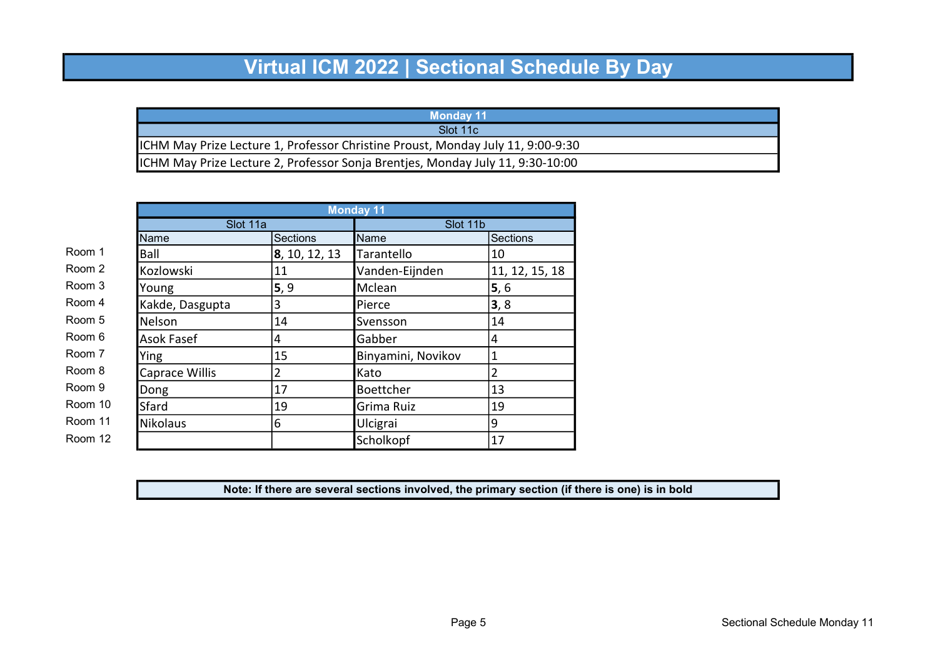| <b>Monday 11</b>                                                                |
|---------------------------------------------------------------------------------|
| Slot 11c                                                                        |
| ICHM May Prize Lecture 1, Professor Christine Proust, Monday July 11, 9:00-9:30 |
| ICHM May Prize Lecture 2, Professor Sonja Brentjes, Monday July 11, 9:30-10:00  |

|         |                   |                 | <b>Monday 11</b>   |                 |  |
|---------|-------------------|-----------------|--------------------|-----------------|--|
|         | Slot 11a          |                 | Slot 11b           |                 |  |
|         | Name              | <b>Sections</b> | Name               | Sections        |  |
| Room 1  | Ball              | 8, 10, 12, 13   | Tarantello         | 10              |  |
| Room 2  | Kozlowski         | 11              | Vanden-Eijnden     | 11, 12, 15, 18  |  |
| Room 3  | Young             | 5, 9            | Mclean             | $\mathbf{5}, 6$ |  |
| Room 4  | Kakde, Dasgupta   | 3               | Pierce             | 3, 8            |  |
| Room 5  | Nelson            | 14              | Svensson           | 14              |  |
| Room 6  | <b>Asok Fasef</b> | 4               | Gabber             | 14              |  |
| Room 7  | Ying              | 15              | Binyamini, Novikov | 1               |  |
| Room 8  | Caprace Willis    | $\overline{2}$  | Kato               | $\overline{2}$  |  |
| Room 9  | Dong              | 17              | Boettcher          | 13              |  |
| Room 10 | Sfard             | 19              | Grima Ruiz         | 19              |  |
| Room 11 | Nikolaus          | 6               | Ulcigrai           | 9               |  |
| Room 12 |                   |                 | Scholkopf          | 17              |  |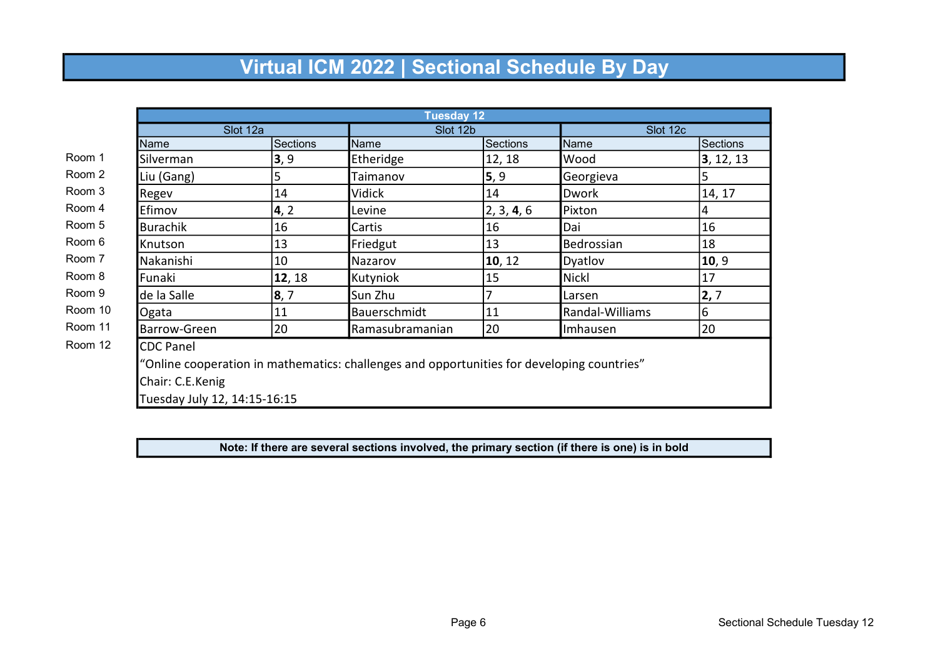|                              |                 | <b>Tuesday 12</b>                                                                          |            |                 |                 |  |
|------------------------------|-----------------|--------------------------------------------------------------------------------------------|------------|-----------------|-----------------|--|
| Slot 12a                     |                 |                                                                                            | Slot 12b   |                 | Slot 12c        |  |
| Name                         | <b>Sections</b> | Name                                                                                       | Sections   | Name            | <b>Sections</b> |  |
| Silverman                    | 3, 9            | Etheridge                                                                                  | 12, 18     | Wood            | 3, 12, 13       |  |
| Liu (Gang)                   | 5               | Taimanov                                                                                   | 5, 9       | Georgieva       | 5               |  |
| Regev                        | 14              | Vidick                                                                                     | 14         | <b>Dwork</b>    | 14, 17          |  |
| Efimov                       | 4, 2            | Levine                                                                                     | 2, 3, 4, 6 | Pixton          | 4               |  |
| <b>Burachik</b>              | 16              | Cartis                                                                                     | 16         | Dai             | 16              |  |
| Knutson                      | 13              | Friedgut                                                                                   | 13         | Bedrossian      | 18              |  |
| Nakanishi                    | 10              | Nazarov                                                                                    | 10, 12     | Dyatlov         | 10, 9           |  |
| Funaki                       | 12, 18          | Kutyniok                                                                                   | 15         | <b>Nickl</b>    | 17              |  |
| de la Salle                  | 8, 7            | Sun Zhu                                                                                    |            | Larsen          | 2, 7            |  |
| Ogata                        | 11              | Bauerschmidt                                                                               | 11         | Randal-Williams | 6               |  |
| Barrow-Green                 | 20              | Ramasubramanian                                                                            | 20         | Imhausen        | 20              |  |
| <b>CDC Panel</b>             |                 |                                                                                            |            |                 |                 |  |
|                              |                 | "Online cooperation in mathematics: challenges and opportunities for developing countries" |            |                 |                 |  |
| Chair: C.E.Kenig             |                 |                                                                                            |            |                 |                 |  |
| Tuesday July 12, 14:15-16:15 |                 |                                                                                            |            |                 |                 |  |